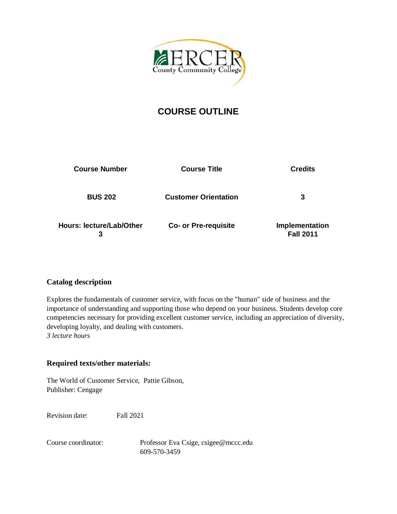

# **COURSE OUTLINE**

| <b>Course Number</b>                 | <b>Course Title</b>         | <b>Credits</b>                     |
|--------------------------------------|-----------------------------|------------------------------------|
| <b>BUS 202</b>                       | <b>Customer Orientation</b> | 3                                  |
| <b>Hours: lecture/Lab/Other</b><br>3 | <b>Co- or Pre-requisite</b> | Implementation<br><b>Fall 2011</b> |

# **Catalog description**

Explores the fundamentals of customer service, with focus on the "human" side of business and the importance of understanding and supporting those who depend on your business. Students develop core competencies necessary for providing excellent customer service, including an appreciation of diversity, developing loyalty, and dealing with customers. *3 lecture hours*

# **Required texts/other materials:**

The World of Customer Service, Pattie Gibson, Publisher: Cengage

Revision date: Fall 2021

Course coordinator: Professor Eva Csige, [csigee@mccc.edu](mailto:csigee@mccc.edu) 609-570-3459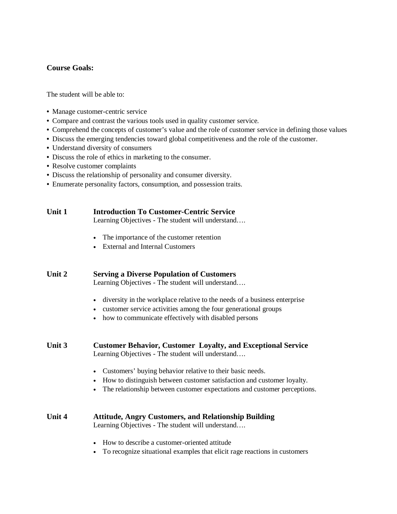# **Course Goals:**

The student will be able to:

- Manage customer-centric service
- Compare and contrast the various tools used in quality customer service.
- Comprehend the concepts of customer's value and the role of customer service in defining those values
- Discuss the emerging tendencies toward global competitiveness and the role of the customer.
- Understand diversity of consumers
- Discuss the role of ethics in marketing to the consumer.
- Resolve customer complaints
- Discuss the relationship of personality and consumer diversity.
- Enumerate personality factors, consumption, and possession traits.

| Unit 1 | <b>Introduction To Customer-Centric Service</b><br>Learning Objectives - The student will understand                                                                                                                         |  |  |
|--------|------------------------------------------------------------------------------------------------------------------------------------------------------------------------------------------------------------------------------|--|--|
|        | The importance of the customer retention<br>$\bullet$<br><b>External and Internal Customers</b><br>$\bullet$                                                                                                                 |  |  |
| Unit 2 | <b>Serving a Diverse Population of Customers</b><br>Learning Objectives - The student will understand                                                                                                                        |  |  |
|        | diversity in the workplace relative to the needs of a business enterprise<br>customer service activities among the four generational groups<br>$\bullet$<br>how to communicate effectively with disabled persons             |  |  |
| Unit 3 | <b>Customer Behavior, Customer Loyalty, and Exceptional Service</b><br>Learning Objectives - The student will understand                                                                                                     |  |  |
|        | Customers' buying behavior relative to their basic needs.<br>How to distinguish between customer satisfaction and customer loyalty.<br>$\bullet$<br>The relationship between customer expectations and customer perceptions. |  |  |
| Unit 4 | <b>Attitude, Angry Customers, and Relationship Building</b><br>Learning Objectives - The student will understand                                                                                                             |  |  |
|        | How to describe a customer-oriented attitude<br>To recognize situational examples that elicit rage reactions in customers                                                                                                    |  |  |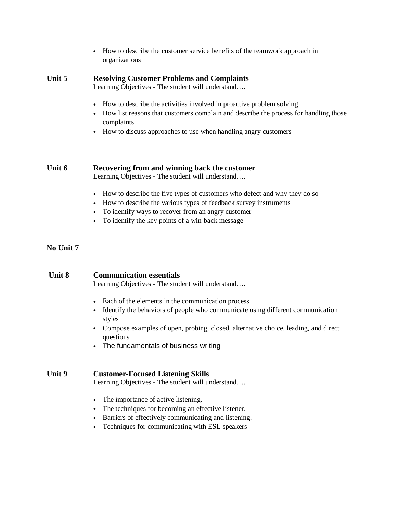|        | How to describe the customer service benefits of the teamwork approach in<br>$\bullet$<br>organizations                                                                                                                                                                           |  |  |
|--------|-----------------------------------------------------------------------------------------------------------------------------------------------------------------------------------------------------------------------------------------------------------------------------------|--|--|
| Unit 5 | <b>Resolving Customer Problems and Complaints</b><br>Learning Objectives - The student will understand                                                                                                                                                                            |  |  |
|        | How to describe the activities involved in proactive problem solving<br>How list reasons that customers complain and describe the process for handling those<br>٠<br>complaints<br>How to discuss approaches to use when handling angry customers                                 |  |  |
| Unit 6 | Recovering from and winning back the customer<br>Learning Objectives - The student will understand                                                                                                                                                                                |  |  |
|        | How to describe the five types of customers who defect and why they do so<br>$\bullet$<br>How to describe the various types of feedback survey instruments<br>$\bullet$<br>To identify ways to recover from an angry customer<br>To identify the key points of a win-back message |  |  |

## **No Unit 7**

# **Unit 8 Communication essentials**

Learning Objectives - The student will understand….

- Each of the elements in the communication process
- Identify the behaviors of people who communicate using different communication styles
- Compose examples of open, probing, closed, alternative choice, leading, and direct questions
- The fundamentals of business writing

#### **Unit 9 Customer-Focused Listening Skills**

Learning Objectives - The student will understand….

- The importance of active listening.
- The techniques for becoming an effective listener.
- Barriers of effectively communicating and listening.
- Techniques for communicating with ESL speakers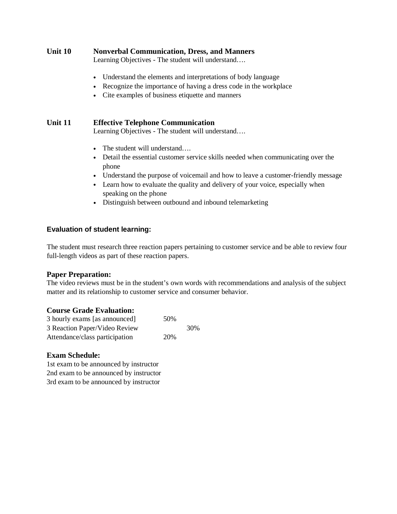| Unit 10 | <b>Nonverbal Communication, Dress, and Manners</b> |  |
|---------|----------------------------------------------------|--|
|         | Learning Objectives - The student will understand  |  |

- Understand the elements and interpretations of body language
- Recognize the importance of having a dress code in the workplace
- Cite examples of business etiquette and manners

## **Unit 11 Effective Telephone Communication**

Learning Objectives - The student will understand….

- The student will understand….
- Detail the essential customer service skills needed when communicating over the phone
- Understand the purpose of voicemail and how to leave a customer-friendly message
- Learn how to evaluate the quality and delivery of your voice, especially when speaking on the phone
- Distinguish between outbound and inbound telemarketing

#### **Evaluation of student learning:**

The student must research three reaction papers pertaining to customer service and be able to review four full-length videos as part of these reaction papers.

#### **Paper Preparation:**

The video reviews must be in the student's own words with recommendations and analysis of the subject matter and its relationship to customer service and consumer behavior.

#### **Course Grade Evaluation:**

| 3 hourly exams [as announced]  | 50% |     |
|--------------------------------|-----|-----|
| 3 Reaction Paper/Video Review  |     | 30% |
| Attendance/class participation | 20% |     |

#### **Exam Schedule:**

1st exam to be announced by instructor 2nd exam to be announced by instructor 3rd exam to be announced by instructor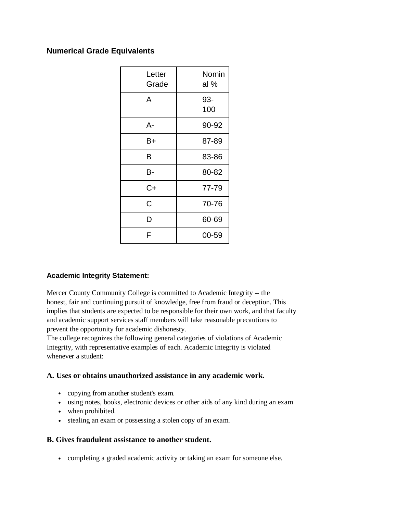# **Numerical Grade Equivalents**

| Letter<br>Grade | Nomin<br>al % |
|-----------------|---------------|
| A               | 93-<br>100    |
| А-              | 90-92         |
| B+              | 87-89         |
| B               | 83-86         |
| В-              | 80-82         |
| C+              | 77-79         |
| Ć               | 70-76         |
| D               | 60-69         |
| F               | 00-59         |

# **Academic Integrity Statement:**

Mercer County Community College is committed to Academic Integrity -- the honest, fair and continuing pursuit of knowledge, free from fraud or deception. This implies that students are expected to be responsible for their own work, and that faculty and academic support services staff members will take reasonable precautions to prevent the opportunity for academic dishonesty.

The college recognizes the following general categories of violations of Academic Integrity, with representative examples of each. Academic Integrity is violated whenever a student:

# **A. Uses or obtains unauthorized assistance in any academic work.**

- copying from another student's exam.
- using notes, books, electronic devices or other aids of any kind during an exam
- when prohibited.
- stealing an exam or possessing a stolen copy of an exam.

# **B. Gives fraudulent assistance to another student.**

• completing a graded academic activity or taking an exam for someone else.